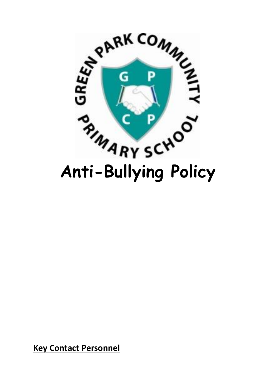

**Key Contact Personnel**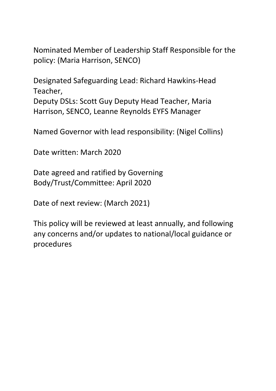Nominated Member of Leadership Staff Responsible for the policy: (Maria Harrison, SENCO)

Designated Safeguarding Lead: Richard Hawkins-Head Teacher, Deputy DSLs: Scott Guy Deputy Head Teacher, Maria Harrison, SENCO, Leanne Reynolds EYFS Manager

Named Governor with lead responsibility: (Nigel Collins)

Date written: March 2020

Date agreed and ratified by Governing Body/Trust/Committee: April 2020

Date of next review: (March 2021)

This policy will be reviewed at least annually, and following any concerns and/or updates to national/local guidance or procedures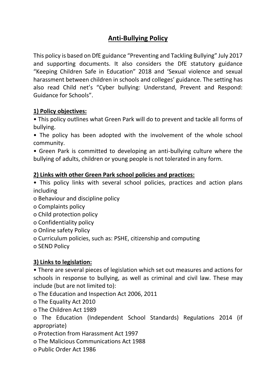# **Anti-Bullying Policy**

This policy is based on DfE guidance "Preventing and Tackling Bullying" July 2017 and supporting documents. It also considers the DfE statutory guidance "Keeping Children Safe in Education" 2018 and 'Sexual violence and sexual harassment between children in schools and colleges' guidance. The setting has also read Child net's "Cyber bullying: Understand, Prevent and Respond: Guidance for Schools".

#### **1) Policy objectives:**

• This policy outlines what Green Park will do to prevent and tackle all forms of bullying.

• The policy has been adopted with the involvement of the whole school community.

• Green Park is committed to developing an anti-bullying culture where the bullying of adults, children or young people is not tolerated in any form.

#### **2) Links with other Green Park school policies and practices:**

• This policy links with several school policies, practices and action plans including

o Behaviour and discipline policy

o Complaints policy

o Child protection policy

o Confidentiality policy

o Online safety Policy

o Curriculum policies, such as: PSHE, citizenship and computing

o SEND Policy

### **3) Links to legislation:**

• There are several pieces of legislation which set out measures and actions for schools in response to bullying, as well as criminal and civil law. These may include (but are not limited to):

o The Education and Inspection Act 2006, 2011

o The Equality Act 2010

o The Children Act 1989

o The Education (Independent School Standards) Regulations 2014 (if appropriate)

o Protection from Harassment Act 1997

o The Malicious Communications Act 1988

o Public Order Act 1986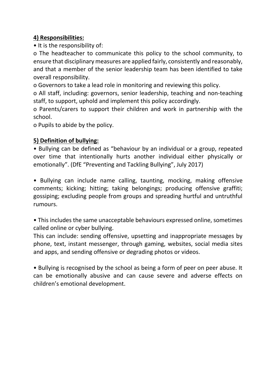### **4) Responsibilities:**

• It is the responsibility of:

o The headteacher to communicate this policy to the school community, to ensure that disciplinary measures are applied fairly, consistently and reasonably, and that a member of the senior leadership team has been identified to take overall responsibility.

o Governors to take a lead role in monitoring and reviewing this policy.

o All staff, including: governors, senior leadership, teaching and non-teaching staff, to support, uphold and implement this policy accordingly.

o Parents/carers to support their children and work in partnership with the school.

o Pupils to abide by the policy.

# **5) Definition of bullying:**

• Bullying can be defined as "behaviour by an individual or a group, repeated over time that intentionally hurts another individual either physically or emotionally". (DfE "Preventing and Tackling Bullying", July 2017)

• Bullying can include name calling, taunting, mocking, making offensive comments; kicking; hitting; taking belongings; producing offensive graffiti; gossiping; excluding people from groups and spreading hurtful and untruthful rumours.

• This includes the same unacceptable behaviours expressed online, sometimes called online or cyber bullying.

This can include: sending offensive, upsetting and inappropriate messages by phone, text, instant messenger, through gaming, websites, social media sites and apps, and sending offensive or degrading photos or videos.

• Bullying is recognised by the school as being a form of peer on peer abuse. It can be emotionally abusive and can cause severe and adverse effects on children's emotional development.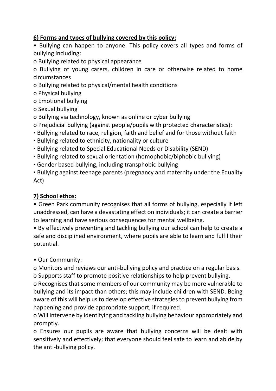### **6) Forms and types of bullying covered by this policy:**

• Bullying can happen to anyone. This policy covers all types and forms of bullying including:

o Bullying related to physical appearance

o Bullying of young carers, children in care or otherwise related to home circumstances

o Bullying related to physical/mental health conditions

o Physical bullying

o Emotional bullying

o Sexual bullying

o Bullying via technology, known as online or cyber bullying

o Prejudicial bullying (against people/pupils with protected characteristics):

▪ Bullying related to race, religion, faith and belief and for those without faith

▪ Bullying related to ethnicity, nationality or culture

▪ Bullying related to Special Educational Needs or Disability (SEND)

▪ Bullying related to sexual orientation (homophobic/biphobic bullying)

▪ Gender based bullying, including transphobic bullying

▪ Bullying against teenage parents (pregnancy and maternity under the Equality Act)

# **7) School ethos:**

• Green Park community recognises that all forms of bullying, especially if left unaddressed, can have a devastating effect on individuals; it can create a barrier to learning and have serious consequences for mental wellbeing.

• By effectively preventing and tackling bullying our school can help to create a safe and disciplined environment, where pupils are able to learn and fulfil their potential.

• Our Community:

o Monitors and reviews our anti-bullying policy and practice on a regular basis. o Supports staff to promote positive relationships to help prevent bullying.

o Recognises that some members of our community may be more vulnerable to bullying and its impact than others; this may include children with SEND. Being aware of this will help us to develop effective strategies to prevent bullying from happening and provide appropriate support, if required.

o Will intervene by identifying and tackling bullying behaviour appropriately and promptly.

o Ensures our pupils are aware that bullying concerns will be dealt with sensitively and effectively; that everyone should feel safe to learn and abide by the anti-bullying policy.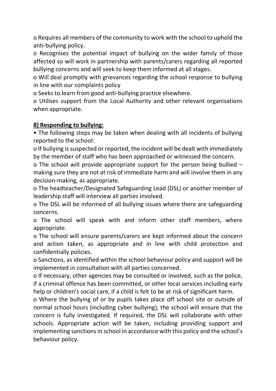o Requires all members of the community to work with the school to uphold the anti-bullying policy.

o Recognises the potential impact of bullying on the wider family of those affected so will work in partnership with parents/carers regarding all reported bullying concerns and will seek to keep them informed at all stages.

o Will deal promptly with grievances regarding the school response to bullying in line with our complaints policy

o Seeks to learn from good anti-bullying practice elsewhere.

o Utilises support from the Local Authority and other relevant organisations when appropriate.

#### **8) Responding to bullying:**

• The following steps may be taken when dealing with all incidents of bullying reported to the school:

o If bullying is suspected or reported, the incident will be dealt with immediately by the member of staff who has been approached or witnessed the concern.

o The school will provide appropriate support for the person being bullied – making sure they are not at risk of immediate harm and will involve them in any decision-making, as appropriate.

o The headteacher/Designated Safeguarding Lead (DSL) or another member of leadership staff will interview all parties involved.

o The DSL will be informed of all bullying issues where there are safeguarding concerns.

o The school will speak with and inform other staff members, where appropriate.

o The school will ensure parents/carers are kept informed about the concern and action taken, as appropriate and in line with child protection and confidentially policies.

o Sanctions, as identified within the school behaviour policy and support will be implemented in consultation with all parties concerned.

o If necessary, other agencies may be consulted or involved, such as the police, if a criminal offence has been committed, or other local services including early help or children's social care, if a child is felt to be at risk of significant harm.

o Where the bullying of or by pupils takes place off school site or outside of normal school hours (including cyber bullying), the school will ensure that the concern is fully investigated. If required, the DSL will collaborate with other schools. Appropriate action will be taken, including providing support and implementing sanctions in school in accordance with this policy and the school's behaviour policy.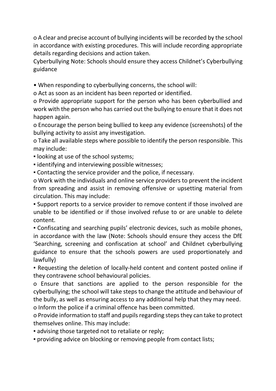o A clear and precise account of bullying incidents will be recorded by the school in accordance with existing procedures. This will include recording appropriate details regarding decisions and action taken.

Cyberbullying Note: Schools should ensure they access Childnet's Cyberbullying guidance

• When responding to cyberbullying concerns, the school will:

o Act as soon as an incident has been reported or identified.

o Provide appropriate support for the person who has been cyberbullied and work with the person who has carried out the bullying to ensure that it does not happen again.

o Encourage the person being bullied to keep any evidence (screenshots) of the bullying activity to assist any investigation.

o Take all available steps where possible to identify the person responsible. This may include:

- looking at use of the school systems;
- **Example 1** identifying and interviewing possible witnesses;

▪ Contacting the service provider and the police, if necessary.

o Work with the individuals and online service providers to prevent the incident from spreading and assist in removing offensive or upsetting material from circulation. This may include:

▪ Support reports to a service provider to remove content if those involved are unable to be identified or if those involved refuse to or are unable to delete content.

▪ Confiscating and searching pupils' electronic devices, such as mobile phones, in accordance with the law (Note: Schools should ensure they access the DfE 'Searching, screening and confiscation at school' and Childnet cyberbullying guidance to ensure that the schools powers are used proportionately and lawfully)

▪ Requesting the deletion of locally-held content and content posted online if they contravene school behavioural policies.

o Ensure that sanctions are applied to the person responsible for the cyberbullying; the school will take steps to change the attitude and behaviour of the bully, as well as ensuring access to any additional help that they may need.

o Inform the police if a criminal offence has been committed.

o Provide information to staff and pupils regarding steps they can take to protect themselves online. This may include:

• advising those targeted not to retaliate or reply;

▪ providing advice on blocking or removing people from contact lists;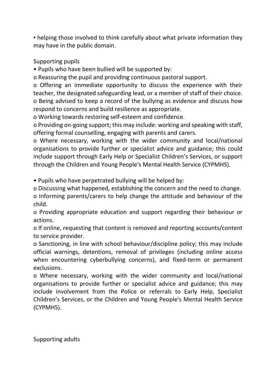• helping those involved to think carefully about what private information they may have in the public domain.

### Supporting pupils

• Pupils who have been bullied will be supported by:

o Reassuring the pupil and providing continuous pastoral support.

o Offering an immediate opportunity to discuss the experience with their teacher, the designated safeguarding lead, or a member of staff of their choice. o Being advised to keep a record of the bullying as evidence and discuss how respond to concerns and build resilience as appropriate.

o Working towards restoring self-esteem and confidence.

o Providing on-going support; this may include: working and speaking with staff, offering formal counselling, engaging with parents and carers.

o Where necessary, working with the wider community and local/national organisations to provide further or specialist advice and guidance; this could include support through Early Help or Specialist Children's Services, or support through the Children and Young People's Mental Health Service (CYPMHS).

• Pupils who have perpetrated bullying will be helped by:

o Discussing what happened, establishing the concern and the need to change.

o Informing parents/carers to help change the attitude and behaviour of the child.

o Providing appropriate education and support regarding their behaviour or actions.

o If online, requesting that content is removed and reporting accounts/content to service provider.

o Sanctioning, in line with school behaviour/discipline policy; this may include official warnings, detentions, removal of privileges (including online access when encountering cyberbullying concerns), and fixed-term or permanent exclusions.

o Where necessary, working with the wider community and local/national organisations to provide further or specialist advice and guidance; this may include involvement from the Police or referrals to Early Help, Specialist Children's Services, or the Children and Young People's Mental Health Service (CYPMHS).

Supporting adults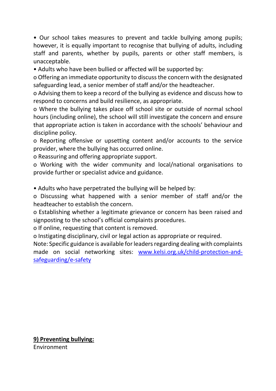• Our school takes measures to prevent and tackle bullying among pupils; however, it is equally important to recognise that bullying of adults, including staff and parents, whether by pupils, parents or other staff members, is unacceptable.

• Adults who have been bullied or affected will be supported by:

o Offering an immediate opportunity to discuss the concern with the designated safeguarding lead, a senior member of staff and/or the headteacher.

o Advising them to keep a record of the bullying as evidence and discuss how to respond to concerns and build resilience, as appropriate.

o Where the bullying takes place off school site or outside of normal school hours (including online), the school will still investigate the concern and ensure that appropriate action is taken in accordance with the schools' behaviour and discipline policy.

o Reporting offensive or upsetting content and/or accounts to the service provider, where the bullying has occurred online.

o Reassuring and offering appropriate support.

o Working with the wider community and local/national organisations to provide further or specialist advice and guidance.

• Adults who have perpetrated the bullying will be helped by:

o Discussing what happened with a senior member of staff and/or the headteacher to establish the concern.

o Establishing whether a legitimate grievance or concern has been raised and signposting to the school's official complaints procedures.

o If online, requesting that content is removed.

o Instigating disciplinary, civil or legal action as appropriate or required.

Note: Specific guidance is available for leaders regarding dealing with complaints made on social networking sites: [www.kelsi.org.uk/child-protection-and](http://www.kelsi.org.uk/child-protection-and-safeguarding/e-safety)[safeguarding/e-safety](http://www.kelsi.org.uk/child-protection-and-safeguarding/e-safety)

**9) Preventing bullying:** Environment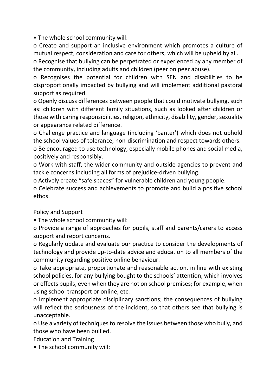• The whole school community will:

o Create and support an inclusive environment which promotes a culture of mutual respect, consideration and care for others, which will be upheld by all.

o Recognise that bullying can be perpetrated or experienced by any member of the community, including adults and children (peer on peer abuse).

o Recognises the potential for children with SEN and disabilities to be disproportionally impacted by bullying and will implement additional pastoral support as required.

o Openly discuss differences between people that could motivate bullying, such as: children with different family situations, such as looked after children or those with caring responsibilities, religion, ethnicity, disability, gender, sexuality or appearance related difference.

o Challenge practice and language (including 'banter') which does not uphold the school values of tolerance, non-discrimination and respect towards others.

o Be encouraged to use technology, especially mobile phones and social media, positively and responsibly.

o Work with staff, the wider community and outside agencies to prevent and tackle concerns including all forms of prejudice-driven bullying.

o Actively create "safe spaces" for vulnerable children and young people.

o Celebrate success and achievements to promote and build a positive school ethos.

Policy and Support

• The whole school community will:

o Provide a range of approaches for pupils, staff and parents/carers to access support and report concerns.

o Regularly update and evaluate our practice to consider the developments of technology and provide up-to-date advice and education to all members of the community regarding positive online behaviour.

o Take appropriate, proportionate and reasonable action, in line with existing school policies, for any bullying bought to the schools' attention, which involves or effects pupils, even when they are not on school premises; for example, when using school transport or online, etc.

o Implement appropriate disciplinary sanctions; the consequences of bullying will reflect the seriousness of the incident, so that others see that bullying is unacceptable.

o Use a variety of techniques to resolve the issues between those who bully, and those who have been bullied.

Education and Training

• The school community will: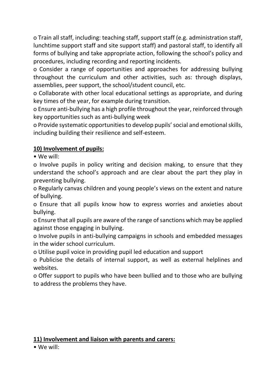o Train all staff, including: teaching staff, support staff (e.g. administration staff, lunchtime support staff and site support staff) and pastoral staff, to identify all forms of bullying and take appropriate action, following the school's policy and procedures, including recording and reporting incidents.

o Consider a range of opportunities and approaches for addressing bullying throughout the curriculum and other activities, such as: through displays, assemblies, peer support, the school/student council, etc.

o Collaborate with other local educational settings as appropriate, and during key times of the year, for example during transition.

o Ensure anti-bullying has a high profile throughout the year, reinforced through key opportunities such as anti-bullying week

o Provide systematic opportunities to develop pupils' social and emotional skills, including building their resilience and self-esteem.

# **10) Involvement of pupils:**

• We will:

o Involve pupils in policy writing and decision making, to ensure that they understand the school's approach and are clear about the part they play in preventing bullying.

o Regularly canvas children and young people's views on the extent and nature of bullying.

o Ensure that all pupils know how to express worries and anxieties about bullying.

o Ensure that all pupils are aware of the range of sanctions which may be applied against those engaging in bullying.

o Involve pupils in anti-bullying campaigns in schools and embedded messages in the wider school curriculum.

o Utilise pupil voice in providing pupil led education and support

o Publicise the details of internal support, as well as external helplines and websites.

o Offer support to pupils who have been bullied and to those who are bullying to address the problems they have.

# **11) Involvement and liaison with parents and carers:**

• We will: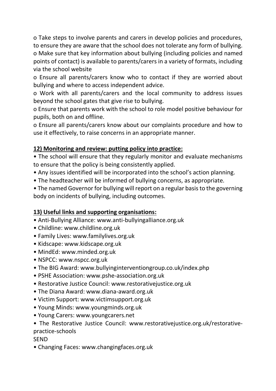o Take steps to involve parents and carers in develop policies and procedures, to ensure they are aware that the school does not tolerate any form of bullying. o Make sure that key information about bullying (including policies and named points of contact) is available to parents/carers in a variety of formats, including via the school website

o Ensure all parents/carers know who to contact if they are worried about bullying and where to access independent advice.

o Work with all parents/carers and the local community to address issues beyond the school gates that give rise to bullying.

o Ensure that parents work with the school to role model positive behaviour for pupils, both on and offline.

o Ensure all parents/carers know about our complaints procedure and how to use it effectively, to raise concerns in an appropriate manner.

# **12) Monitoring and review: putting policy into practice:**

• The school will ensure that they regularly monitor and evaluate mechanisms to ensure that the policy is being consistently applied.

- Any issues identified will be incorporated into the school's action planning.
- The headteacher will be informed of bullying concerns, as appropriate.

• The named Governor for bullying will report on a regular basis to the governing body on incidents of bullying, including outcomes.

# **13) Useful links and supporting organisations:**

- Anti-Bullying Alliance: www.anti-bullyingalliance.org.uk
- Childline: www.childline.org.uk
- Family Lives: www.familylives.org.uk
- Kidscape: www.kidscape.org.uk
- MindEd: www.minded.org.uk
- NSPCC: www.nspcc.org.uk
- The BIG Award: www.bullyinginterventiongroup.co.uk/index.php
- PSHE Association: www.pshe-association.org.uk
- Restorative Justice Council: www.restorativejustice.org.uk
- The Diana Award: www.diana-award.org.uk
- Victim Support: www.victimsupport.org.uk
- Young Minds: www.youngminds.org.uk
- Young Carers: www.youngcarers.net

### • The Restorative Justice Council: www.restorativejustice.org.uk/restorativepractice-schools

**SEND** 

• Changing Faces: www.changingfaces.org.uk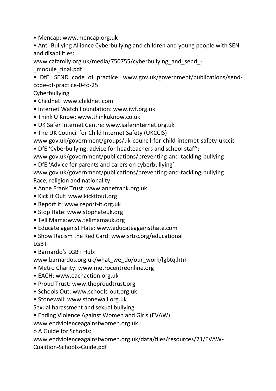• Mencap: www.mencap.org.uk

• Anti-Bullying Alliance Cyberbullying and children and young people with SEN and disabilities:

www.cafamily.org.uk/media/750755/cyberbullying\_and\_send\_- \_module\_final.pdf

• DfE: SEND code of practice: www.gov.uk/government/publications/sendcode-of-practice-0-to-25

Cyberbullying

- Childnet: www.childnet.com
- Internet Watch Foundation: www.iwf.org.uk
- Think U Know: www.thinkuknow.co.uk
- UK Safer Internet Centre: www.saferinternet.org.uk
- The UK Council for Child Internet Safety (UKCCIS)

www.gov.uk/government/groups/uk-council-for-child-internet-safety-ukccis

• DfE 'Cyberbullying: advice for headteachers and school staff':

www.gov.uk/government/publications/preventing-and-tackling-bullying

• DfE 'Advice for parents and carers on cyberbullying':

www.gov.uk/government/publications/preventing-and-tackling-bullying Race, religion and nationality

- Anne Frank Trust: www.annefrank.org.uk
- Kick it Out: www.kickitout.org
- Report it: www.report-it.org.uk
- Stop Hate: www.stophateuk.org
- Tell Mama:www.tellmamauk.org
- Educate against Hate: www.educateagainsthate.com
- Show Racism the Red Card: www.srtrc.org/educational LGBT

• Barnardo's LGBT Hub:

- www.barnardos.org.uk/what\_we\_do/our\_work/lgbtq.htm
- Metro Charity: www.metrocentreonline.org
- EACH: www.eachaction.org.uk
- Proud Trust: www.theproudtrust.org
- Schools Out: www.schools-out.org.uk
- Stonewall: www.stonewall.org.uk

Sexual harassment and sexual bullying

• Ending Violence Against Women and Girls (EVAW)

www.endviolenceagainstwomen.org.uk

o A Guide for Schools:

www.endviolenceagainstwomen.org.uk/data/files/resources/71/EVAW-

Coalition-Schools-Guide.pdf